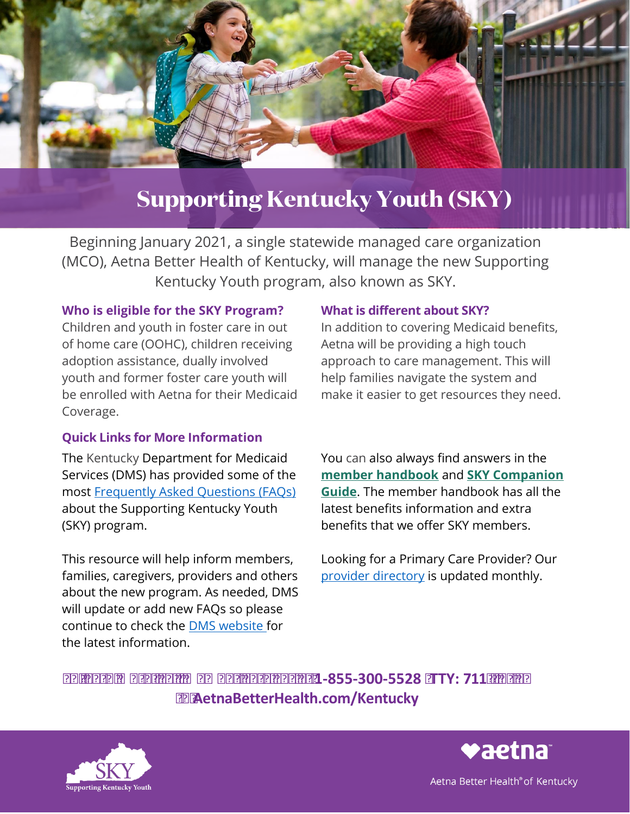

# **Supporting Kentucky Youth (SKY)**

 Beginning January 2021, a single statewide managed care organization (MCO), Aetna Better Health of Kentucky, will manage the new Supporting Kentucky Youth program, also known as SKY.

#### **Who is eligible for the SKY Program?**

 adoption assistance, dually involved Children and youth in foster care in out of home care (OOHC), children receiving youth and former foster care youth will be enrolled with Aetna for their Medicaid Coverage.

### **Quick Links for More Information**

The Kentucky Department for Medicaid Services (DMS) has provided some of the most [Frequently Asked Questions \(FAQs\)](https://chfs.ky.gov/agencies/dms/member/Pages/skymembers.aspx)  about the Supporting Kentucky Youth (SKY) program.

This resource will help inform members, families, caregivers, providers and others about the new program. As needed, DMS will update or add new FAQs so please continue to check the [DMS website f](https://chfs.ky.gov/agencies/dms/Pages/default.aspx)or the latest information.

### **What is different about SKY?**

In addition to covering Medicaid benefits, Aetna will be providing a high touch approach to care management. This will help families navigate the system and make it easier to get resources they need.

You can also always find answers in the **[member handbook](https://www.aetnabetterhealth.com/kentucky/members/handbook)** and **[SKY Companion](https://www.aetnabetterhealth.com/content/dam/aetna/medicaid/kentucky/pdf/SKY_Companion_Guide_FINAL.pdf)  [Guide](https://www.aetnabetterhealth.com/content/dam/aetna/medicaid/kentucky/pdf/SKY_Companion_Guide_FINAL.pdf)**. The member handbook has all the latest benefits information and extra benefits that we offer SKY members.

Looking for a Primary Care Provider? Our [provider directory](https://www.aetnabetterhealth.com/kentucky/members/directory) is updated monthly.

 To learn more, call Member Services at **1-855-300-5528** (**TTY: 711**), or go to **[AetnaBetterHealth.com/Kentucky](http://AetnaBetterHealth.com/Kentucky)**





Aetna Better Health® of Kentucky